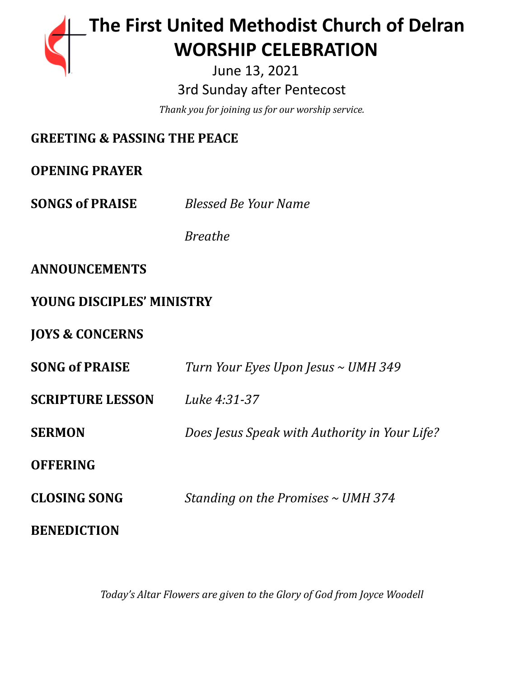# **The First United Methodist Church of Delran …… … WORSHIP CELEBRATION**

June 13, 2021 3rd Sunday after Pentecost

*Thank you for joining us for our worship service.*

# **GREETING & PASSING THE PEACE**

**OPENING PRAYER**

**SONGS of PRAISE** *Blessed Be Your Name*

*Breathe*

## **ANNOUNCEMENTS**

## **YOUNG DISCIPLES' MINISTRY**

**JOYS & CONCERNS**

| <b>SONG of PRAISE</b>   | Turn Your Eyes Upon Jesus ~ UMH 349           |
|-------------------------|-----------------------------------------------|
| <b>SCRIPTURE LESSON</b> | Luke 4:31-37                                  |
| <b>SERMON</b>           | Does Jesus Speak with Authority in Your Life? |
| <b>OFFERING</b>         |                                               |
| <b>CLOSING SONG</b>     | Standing on the Promises $\sim$ UMH 374       |
| <b>BENEDICTION</b>      |                                               |

*Today's Altar Flowers are given to the Glory of God from Joyce Woodell*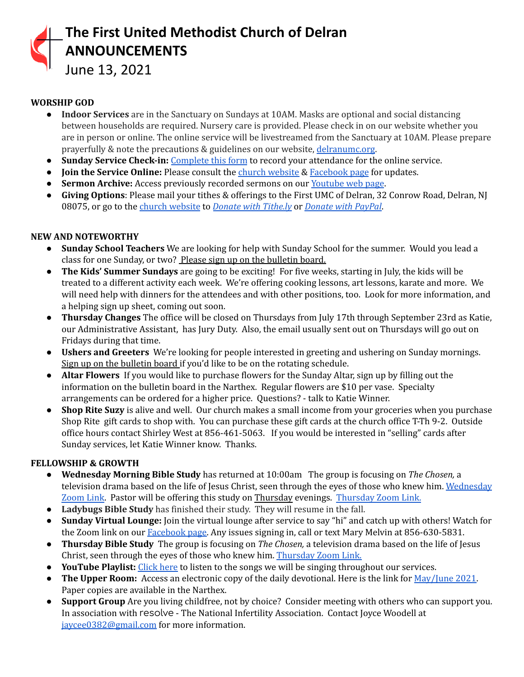

June 13, 2021

## **WORSHIP GOD**

- **Indoor Services** are in the Sanctuary on Sundays at 10AM. Masks are optional and social distancing between households are required. Nursery care is provided. Please check in on our website whether you are in person or online. The online service will be livestreamed from the Sanctuary at 10AM. Please prepare prayerfully & note the precautions & guidelines on our website, [delranumc.org](http://www.delranumc.org).
- **Sunday Service Check-in:** [Complete](https://forms.gle/M3ri1D2zXFtJRq2N6) this form to record your attendance for the online service.
- **Join the Service Online:** Please consult the church [website](http://www.delranumc.org) & [Facebook](https://www.facebook.com/FirstUnitedMethodistChurch.Delran) page for updates.
- **Sermon Archive:** Access previously recorded sermons on our [Youtube](https://www.youtube.com/results?search_query=delran+first+umc+channel) web page.
- **Giving Options**: Please mail your tithes & offerings to the First UMC of Delran, 32 Conrow Road, Delran, NJ 08075, or go to the church [website](http://www.delranumc.org) to *Donate with [Tithe.ly](https://tithe.ly/give?c=1379451)* or *[Donate](https://www.paypal.com/donate/?token=JgyQQyCzJSzuWb-4M_kVuUa8ORCkKdbhPebT-DwrySzFpiafxE6LsZCirp50sAsR0jT_60&country.x=US&locale.x=) with PayPal*.

## **NEW AND NOTEWORTHY**

- **● Sunday School Teachers** We are looking for help with Sunday School for the summer. Would you lead a class for one Sunday, or two? Please sign up on the bulletin board.
- **● The Kids' Summer Sundays** are going to be exciting! For five weeks, starting in July, the kids will be treated to a different activity each week. We're offering cooking lessons, art lessons, karate and more. We will need help with dinners for the attendees and with other positions, too. Look for more information, and a helping sign up sheet, coming out soon.
- **Thursday Changes** The office will be closed on Thursdays from July 17th through September 23rd as Katie, our Administrative Assistant, has Jury Duty. Also, the email usually sent out on Thursdays will go out on Fridays during that time.
- **● Ushers and Greeters** We're looking for people interested in greeting and ushering on Sunday mornings. Sign up on the bulletin board if you'd like to be on the rotating schedule.
- **● Altar Flowers** If you would like to purchase flowers for the Sunday Altar, sign up by filling out the information on the bulletin board in the Narthex. Regular flowers are \$10 per vase. Specialty arrangements can be ordered for a higher price. Questions? - talk to Katie Winner.
- **● Shop Rite Suzy** is alive and well. Our church makes a small income from your groceries when you purchase Shop Rite gift cards to shop with. You can purchase these gift cards at the church office T-Th 9-2. Outside office hours contact Shirley West at 856-461-5063. If you would be interested in "selling" cards after Sunday services, let Katie Winner know. Thanks.

## **FELLOWSHIP & GROWTH**

- **● Wednesday Morning Bible Study** has returned at 10:00am The group is focusing on *The Chosen,* a television drama based on the life of Jesus Christ, seen through the eyes of those who knew him. [Wednesday](https://us02web.zoom.us/j/83299668925?pwd=R09VZzEvellRdnpsemtaQzJocW1nUT09) [Zoom](https://us02web.zoom.us/j/83299668925?pwd=R09VZzEvellRdnpsemtaQzJocW1nUT09) Link. Pastor will be offering this study on Thursday evenings. [Thursday](https://us02web.zoom.us/j/86724526082?pwd=Yk1aT0N6ajRzcUF6KzdhT05VU0k3Zz09) Zoom Link.
- **● Ladybugs Bible Study** has finished their study. They will resume in the fall.
- **● Sunday Virtual Lounge:** Join the virtual lounge after service to say "hi" and catch up with others! Watch for the Zoom link on our **[Facebook](https://www.facebook.com/FirstUnitedMethodistChurch.Delran) page**. Any issues signing in, call or text Mary Melvin at 856-630-5831.
- **Thursday Bible Study** The group is focusing on *The Chosen,* a television drama based on the life of Jesus Christ, seen through the eyes of those who knew him. [Thursday](https://us02web.zoom.us/j/86724526082?pwd=Yk1aT0N6ajRzcUF6KzdhT05VU0k3Zz09) Zoom Link.
- **● YouTube Playlist:** [Click](https://www.youtube.com/watch?v=lJJQjFnX0nk&list=PL76HlEzH6SKYV7jHyH7qBV7M1G3TK8-OK) here to listen to the songs we will be singing throughout our services.
- **The Upper Room:** Access an electronic copy of the daily devotional. Here is the link for [May/June](https://destination-site-production.s3.amazonaws.com/covers/URE_May-June2021.pdf) 2021. Paper copies are available in the Narthex.
- **Support Group** Are you living childfree, not by choice? Consider meeting with others who can support you. In association with resolve - The National Infertility Association. Contact Joyce Woodell at [jaycee0382@gmail.com](mailto:jaycee0382@gmail.com) for more information.